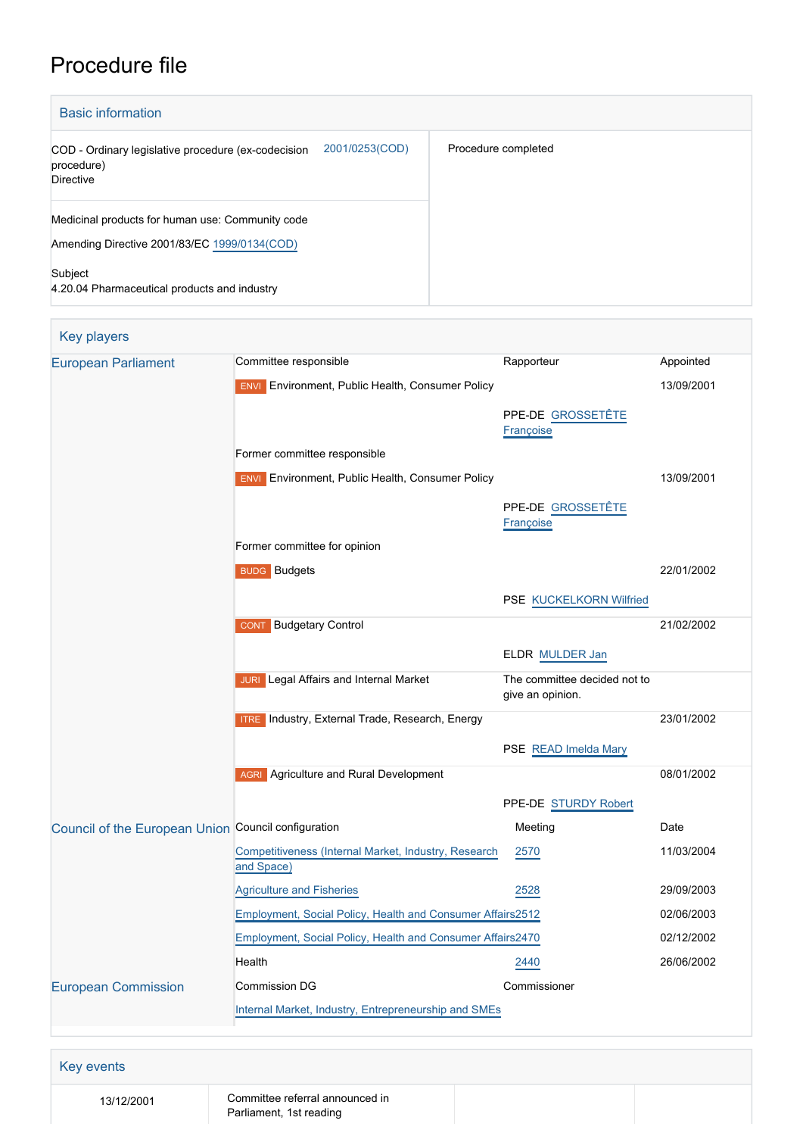# Procedure file

| <b>Basic information</b>                                                                                |                     |  |  |  |
|---------------------------------------------------------------------------------------------------------|---------------------|--|--|--|
| 2001/0253(COD)<br>COD - Ordinary legislative procedure (ex-codecision<br>procedure)<br><b>Directive</b> | Procedure completed |  |  |  |
| Medicinal products for human use: Community code<br>Amending Directive 2001/83/EC 1999/0134(COD)        |                     |  |  |  |
| Subject<br>4.20.04 Pharmaceutical products and industry                                                 |                     |  |  |  |

| <b>European Parliament</b>                          | Committee responsible                                              | Rapporteur                                       | Appointed  |
|-----------------------------------------------------|--------------------------------------------------------------------|--------------------------------------------------|------------|
|                                                     | <b>ENVI</b> Environment, Public Health, Consumer Policy            |                                                  | 13/09/2001 |
|                                                     |                                                                    | PPE-DE GROSSETÊTE                                |            |
|                                                     |                                                                    | Françoise                                        |            |
|                                                     | Former committee responsible                                       |                                                  |            |
|                                                     | <b>ENVI</b> Environment, Public Health, Consumer Policy            |                                                  | 13/09/2001 |
|                                                     |                                                                    | PPE-DE GROSSETÊTE                                |            |
|                                                     |                                                                    | Françoise                                        |            |
|                                                     | Former committee for opinion                                       |                                                  |            |
|                                                     | <b>BUDG</b> Budgets                                                |                                                  | 22/01/2002 |
|                                                     |                                                                    | PSE KUCKELKORN Wilfried                          |            |
|                                                     | <b>CONT</b> Budgetary Control                                      |                                                  | 21/02/2002 |
|                                                     |                                                                    | ELDR MULDER Jan                                  |            |
|                                                     | <b>JURI</b> Legal Affairs and Internal Market                      | The committee decided not to<br>give an opinion. |            |
|                                                     | <b>ITRE</b> Industry, External Trade, Research, Energy             |                                                  | 23/01/2002 |
|                                                     |                                                                    | PSE READ Imelda Mary                             |            |
|                                                     | <b>AGRI</b> Agriculture and Rural Development                      |                                                  | 08/01/2002 |
|                                                     |                                                                    | PPE-DE STURDY Robert                             |            |
| Council of the European Union Council configuration |                                                                    | Meeting                                          | Date       |
|                                                     | Competitiveness (Internal Market, Industry, Research<br>and Space) | 2570                                             | 11/03/2004 |
|                                                     | <b>Agriculture and Fisheries</b>                                   | 2528                                             | 29/09/2003 |
|                                                     | Employment, Social Policy, Health and Consumer Affairs2512         |                                                  | 02/06/2003 |
|                                                     | Employment, Social Policy, Health and Consumer Affairs2470         |                                                  | 02/12/2002 |
|                                                     | Health                                                             | 2440                                             | 26/06/2002 |
| <b>European Commission</b>                          | <b>Commission DG</b>                                               | Commissioner                                     |            |
|                                                     | Internal Market, Industry, Entrepreneurship and SMEs               |                                                  |            |

13/12/2001 Committee referral announced in Parliament, 1st reading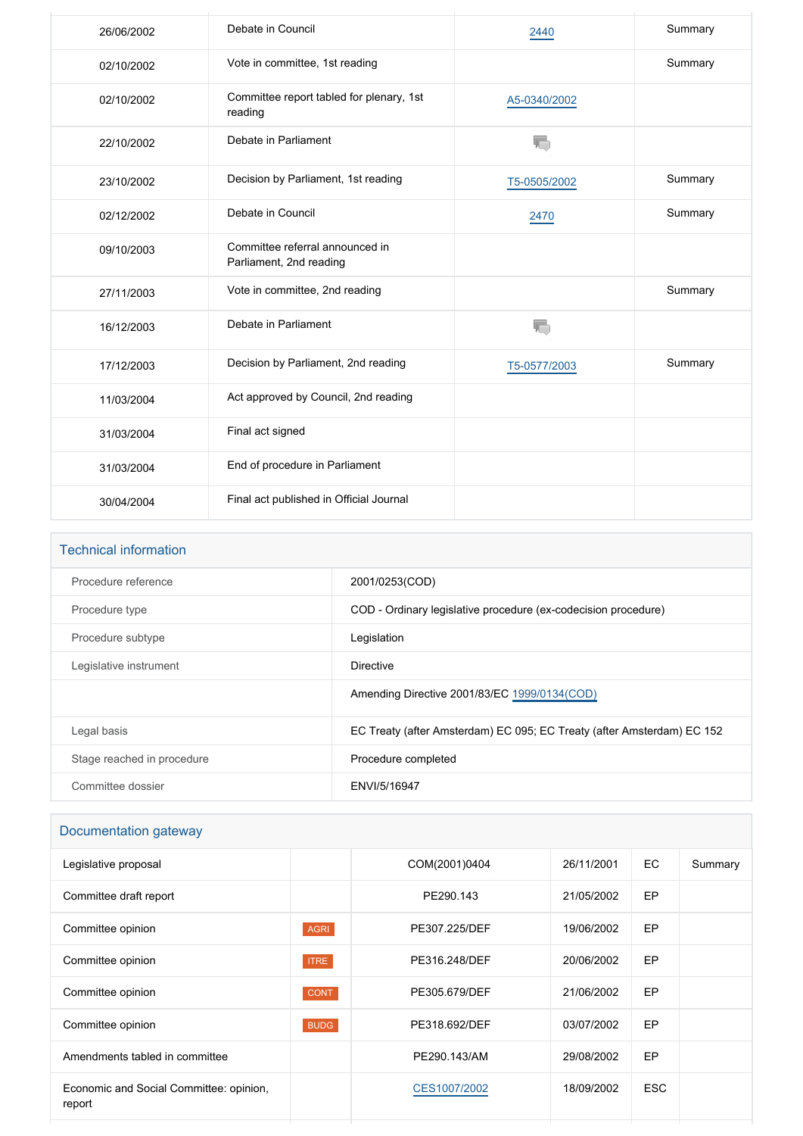| 26/06/2002 | Debate in Council                                          | 2440         | Summary |
|------------|------------------------------------------------------------|--------------|---------|
| 02/10/2002 | Vote in committee, 1st reading                             |              | Summary |
| 02/10/2002 | Committee report tabled for plenary, 1st<br>reading        | A5-0340/2002 |         |
| 22/10/2002 | Debate in Parliament                                       | T.           |         |
| 23/10/2002 | Decision by Parliament, 1st reading                        | T5-0505/2002 | Summary |
| 02/12/2002 | Debate in Council                                          | 2470         | Summary |
| 09/10/2003 | Committee referral announced in<br>Parliament, 2nd reading |              |         |
| 27/11/2003 | Vote in committee, 2nd reading                             |              | Summary |
| 16/12/2003 | Debate in Parliament                                       | V.           |         |
| 17/12/2003 | Decision by Parliament, 2nd reading                        | T5-0577/2003 | Summary |
| 11/03/2004 | Act approved by Council, 2nd reading                       |              |         |
| 31/03/2004 | Final act signed                                           |              |         |
| 31/03/2004 | End of procedure in Parliament                             |              |         |
| 30/04/2004 | Final act published in Official Journal                    |              |         |

| <b>Technical information</b> |                                                                        |
|------------------------------|------------------------------------------------------------------------|
| Procedure reference          | 2001/0253(COD)                                                         |
| Procedure type               | COD - Ordinary legislative procedure (ex-codecision procedure)         |
| Procedure subtype            | Legislation                                                            |
| Legislative instrument       | Directive                                                              |
|                              | Amending Directive 2001/83/EC 1999/0134(COD)                           |
| Legal basis                  | EC Treaty (after Amsterdam) EC 095; EC Treaty (after Amsterdam) EC 152 |
| Stage reached in procedure   | Procedure completed                                                    |
| Committee dossier            | ENVI/5/16947                                                           |
|                              |                                                                        |

## Documentation gateway

| Legislative proposal                              |             | COM(2001)0404 | 26/11/2001 | EC.        | Summary |
|---------------------------------------------------|-------------|---------------|------------|------------|---------|
| Committee draft report                            |             | PE290.143     | 21/05/2002 | <b>EP</b>  |         |
| Committee opinion                                 | <b>AGRI</b> | PE307.225/DEF | 19/06/2002 | <b>EP</b>  |         |
| Committee opinion                                 | <b>ITRE</b> | PE316.248/DEF | 20/06/2002 | EP         |         |
| Committee opinion                                 | <b>CONT</b> | PE305.679/DEF | 21/06/2002 | EP         |         |
| Committee opinion                                 | <b>BUDG</b> | PE318.692/DEF | 03/07/2002 | EP         |         |
| Amendments tabled in committee                    |             | PE290.143/AM  | 29/08/2002 | EP         |         |
| Economic and Social Committee: opinion,<br>report |             | CES1007/2002  | 18/09/2002 | <b>ESC</b> |         |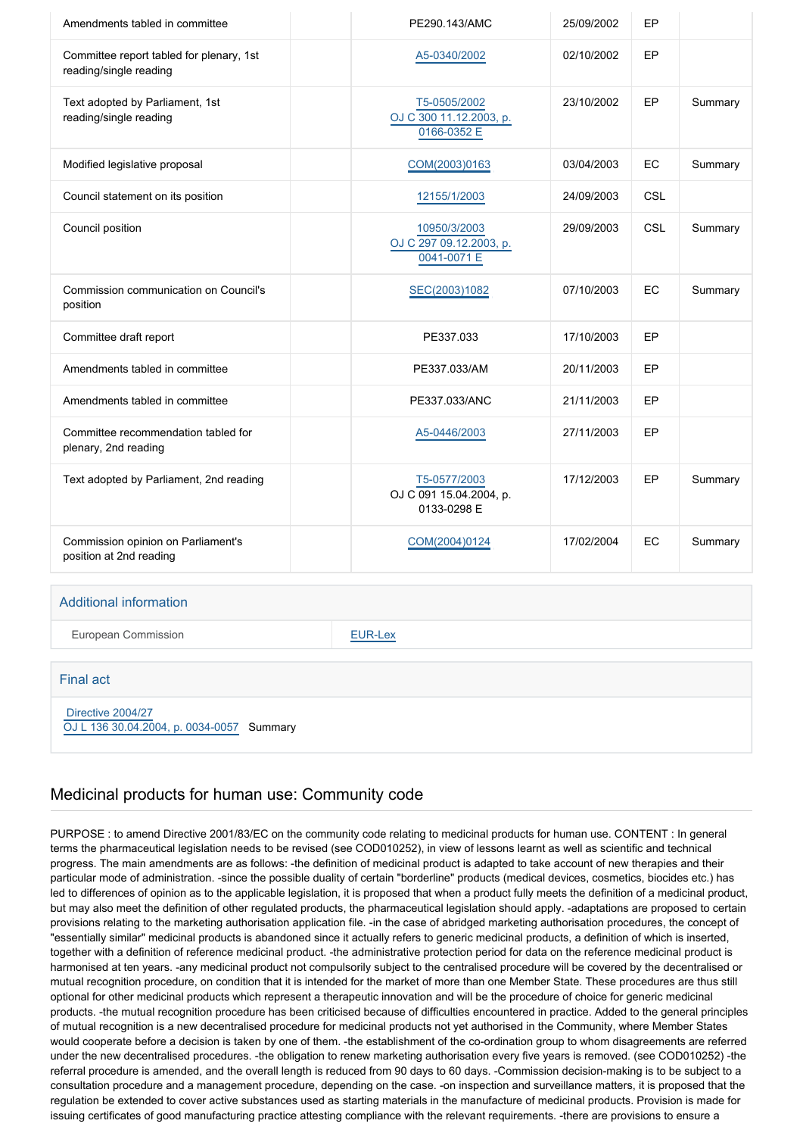| Amendments tabled in committee                                     | PE290.143/AMC                                          | 25/09/2002 | EP  |         |
|--------------------------------------------------------------------|--------------------------------------------------------|------------|-----|---------|
| Committee report tabled for plenary, 1st<br>reading/single reading | A5-0340/2002                                           | 02/10/2002 | EP  |         |
| Text adopted by Parliament, 1st<br>reading/single reading          | T5-0505/2002<br>OJ C 300 11.12.2003, p.<br>0166-0352 E | 23/10/2002 | EP  | Summary |
| Modified legislative proposal                                      | COM(2003)0163                                          | 03/04/2003 | EC  | Summary |
| Council statement on its position                                  | 12155/1/2003                                           | 24/09/2003 | CSL |         |
| Council position                                                   | 10950/3/2003<br>OJ C 297 09.12.2003, p.<br>0041-0071 E | 29/09/2003 | CSL | Summary |
| Commission communication on Council's<br>position                  | SEC(2003)1082                                          | 07/10/2003 | EC  | Summary |
| Committee draft report                                             | PE337.033                                              | 17/10/2003 | EP  |         |
| Amendments tabled in committee                                     | PE337.033/AM                                           | 20/11/2003 | EP  |         |
| Amendments tabled in committee                                     | PE337.033/ANC                                          | 21/11/2003 | EP  |         |
| Committee recommendation tabled for<br>plenary, 2nd reading        | A5-0446/2003                                           | 27/11/2003 | EP  |         |
| Text adopted by Parliament, 2nd reading                            | T5-0577/2003<br>OJ C 091 15.04.2004, p.<br>0133-0298 E | 17/12/2003 | EP  | Summary |
| Commission opinion on Parliament's<br>position at 2nd reading      | COM(2004)0124                                          | 17/02/2004 | EC  | Summary |

#### Additional information

European Commission **[EUR-Lex](http://ec.europa.eu/prelex/liste_resultats.cfm?CL=en&ReqId=0&DocType=COD&DocYear=2001&DocNum=0253)** 

#### Final act

 [Directive 2004/27](https://eur-lex.europa.eu/smartapi/cgi/sga_doc?smartapi!celexplus!prod!CELEXnumdoc&lg=EN&numdoc=32004L0027) [OJ L 136 30.04.2004, p. 0034-0057](https://eur-lex.europa.eu/legal-content/EN/TXT/?uri=OJ:L:2004:136:TOC) Summary

#### Medicinal products for human use: Community code

PURPOSE : to amend Directive 2001/83/EC on the community code relating to medicinal products for human use. CONTENT : In general terms the pharmaceutical legislation needs to be revised (see COD010252), in view of lessons learnt as well as scientific and technical progress. The main amendments are as follows: -the definition of medicinal product is adapted to take account of new therapies and their particular mode of administration. -since the possible duality of certain "borderline" products (medical devices, cosmetics, biocides etc.) has led to differences of opinion as to the applicable legislation, it is proposed that when a product fully meets the definition of a medicinal product, but may also meet the definition of other regulated products, the pharmaceutical legislation should apply. -adaptations are proposed to certain provisions relating to the marketing authorisation application file. -in the case of abridged marketing authorisation procedures, the concept of "essentially similar" medicinal products is abandoned since it actually refers to generic medicinal products, a definition of which is inserted, together with a definition of reference medicinal product. -the administrative protection period for data on the reference medicinal product is harmonised at ten years. -any medicinal product not compulsorily subject to the centralised procedure will be covered by the decentralised or mutual recognition procedure, on condition that it is intended for the market of more than one Member State. These procedures are thus still optional for other medicinal products which represent a therapeutic innovation and will be the procedure of choice for generic medicinal products. -the mutual recognition procedure has been criticised because of difficulties encountered in practice. Added to the general principles of mutual recognition is a new decentralised procedure for medicinal products not yet authorised in the Community, where Member States would cooperate before a decision is taken by one of them. -the establishment of the co-ordination group to whom disagreements are referred under the new decentralised procedures. -the obligation to renew marketing authorisation every five years is removed. (see COD010252) -the referral procedure is amended, and the overall length is reduced from 90 days to 60 days. -Commission decision-making is to be subject to a consultation procedure and a management procedure, depending on the case. -on inspection and surveillance matters, it is proposed that the regulation be extended to cover active substances used as starting materials in the manufacture of medicinal products. Provision is made for issuing certificates of good manufacturing practice attesting compliance with the relevant requirements. -there are provisions to ensure a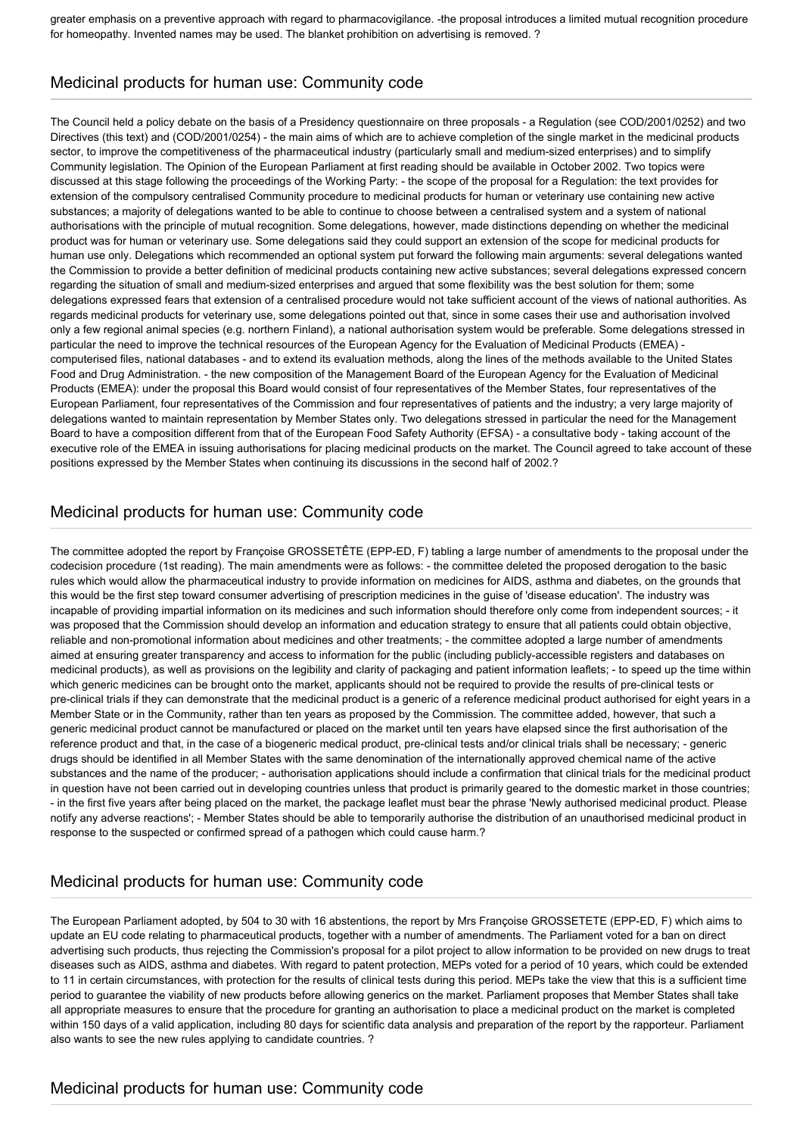greater emphasis on a preventive approach with regard to pharmacovigilance. -the proposal introduces a limited mutual recognition procedure for homeopathy. Invented names may be used. The blanket prohibition on advertising is removed. ?

# Medicinal products for human use: Community code

The Council held a policy debate on the basis of a Presidency questionnaire on three proposals - a Regulation (see COD/2001/0252) and two Directives (this text) and (COD/2001/0254) - the main aims of which are to achieve completion of the single market in the medicinal products sector, to improve the competitiveness of the pharmaceutical industry (particularly small and medium-sized enterprises) and to simplify Community legislation. The Opinion of the European Parliament at first reading should be available in October 2002. Two topics were discussed at this stage following the proceedings of the Working Party: - the scope of the proposal for a Regulation: the text provides for extension of the compulsory centralised Community procedure to medicinal products for human or veterinary use containing new active substances; a majority of delegations wanted to be able to continue to choose between a centralised system and a system of national authorisations with the principle of mutual recognition. Some delegations, however, made distinctions depending on whether the medicinal product was for human or veterinary use. Some delegations said they could support an extension of the scope for medicinal products for human use only. Delegations which recommended an optional system put forward the following main arguments: several delegations wanted the Commission to provide a better definition of medicinal products containing new active substances; several delegations expressed concern regarding the situation of small and medium-sized enterprises and argued that some flexibility was the best solution for them; some delegations expressed fears that extension of a centralised procedure would not take sufficient account of the views of national authorities. As regards medicinal products for veterinary use, some delegations pointed out that, since in some cases their use and authorisation involved only a few regional animal species (e.g. northern Finland), a national authorisation system would be preferable. Some delegations stressed in particular the need to improve the technical resources of the European Agency for the Evaluation of Medicinal Products (EMEA) computerised files, national databases - and to extend its evaluation methods, along the lines of the methods available to the United States Food and Drug Administration. - the new composition of the Management Board of the European Agency for the Evaluation of Medicinal Products (EMEA): under the proposal this Board would consist of four representatives of the Member States, four representatives of the European Parliament, four representatives of the Commission and four representatives of patients and the industry; a very large majority of delegations wanted to maintain representation by Member States only. Two delegations stressed in particular the need for the Management Board to have a composition different from that of the European Food Safety Authority (EFSA) - a consultative body - taking account of the executive role of the EMEA in issuing authorisations for placing medicinal products on the market. The Council agreed to take account of these positions expressed by the Member States when continuing its discussions in the second half of 2002.?

## Medicinal products for human use: Community code

The committee adopted the report by Françoise GROSSETÊTE (EPP-ED, F) tabling a large number of amendments to the proposal under the codecision procedure (1st reading). The main amendments were as follows: - the committee deleted the proposed derogation to the basic rules which would allow the pharmaceutical industry to provide information on medicines for AIDS, asthma and diabetes, on the grounds that this would be the first step toward consumer advertising of prescription medicines in the guise of 'disease education'. The industry was incapable of providing impartial information on its medicines and such information should therefore only come from independent sources; - it was proposed that the Commission should develop an information and education strategy to ensure that all patients could obtain objective, reliable and non-promotional information about medicines and other treatments; - the committee adopted a large number of amendments aimed at ensuring greater transparency and access to information for the public (including publicly-accessible registers and databases on medicinal products), as well as provisions on the legibility and clarity of packaging and patient information leaflets; - to speed up the time within which generic medicines can be brought onto the market, applicants should not be required to provide the results of pre-clinical tests or pre-clinical trials if they can demonstrate that the medicinal product is a generic of a reference medicinal product authorised for eight years in a Member State or in the Community, rather than ten years as proposed by the Commission. The committee added, however, that such a generic medicinal product cannot be manufactured or placed on the market until ten years have elapsed since the first authorisation of the reference product and that, in the case of a biogeneric medical product, pre-clinical tests and/or clinical trials shall be necessary; - generic drugs should be identified in all Member States with the same denomination of the internationally approved chemical name of the active substances and the name of the producer; - authorisation applications should include a confirmation that clinical trials for the medicinal product in question have not been carried out in developing countries unless that product is primarily geared to the domestic market in those countries; - in the first five years after being placed on the market, the package leaflet must bear the phrase 'Newly authorised medicinal product. Please notify any adverse reactions'; - Member States should be able to temporarily authorise the distribution of an unauthorised medicinal product in response to the suspected or confirmed spread of a pathogen which could cause harm.?

# Medicinal products for human use: Community code

The European Parliament adopted, by 504 to 30 with 16 abstentions, the report by Mrs Françoise GROSSETETE (EPP-ED, F) which aims to update an EU code relating to pharmaceutical products, together with a number of amendments. The Parliament voted for a ban on direct advertising such products, thus rejecting the Commission's proposal for a pilot project to allow information to be provided on new drugs to treat diseases such as AIDS, asthma and diabetes. With regard to patent protection, MEPs voted for a period of 10 years, which could be extended to 11 in certain circumstances, with protection for the results of clinical tests during this period. MEPs take the view that this is a sufficient time period to guarantee the viability of new products before allowing generics on the market. Parliament proposes that Member States shall take all appropriate measures to ensure that the procedure for granting an authorisation to place a medicinal product on the market is completed within 150 days of a valid application, including 80 days for scientific data analysis and preparation of the report by the rapporteur. Parliament also wants to see the new rules applying to candidate countries. ?

#### Medicinal products for human use: Community code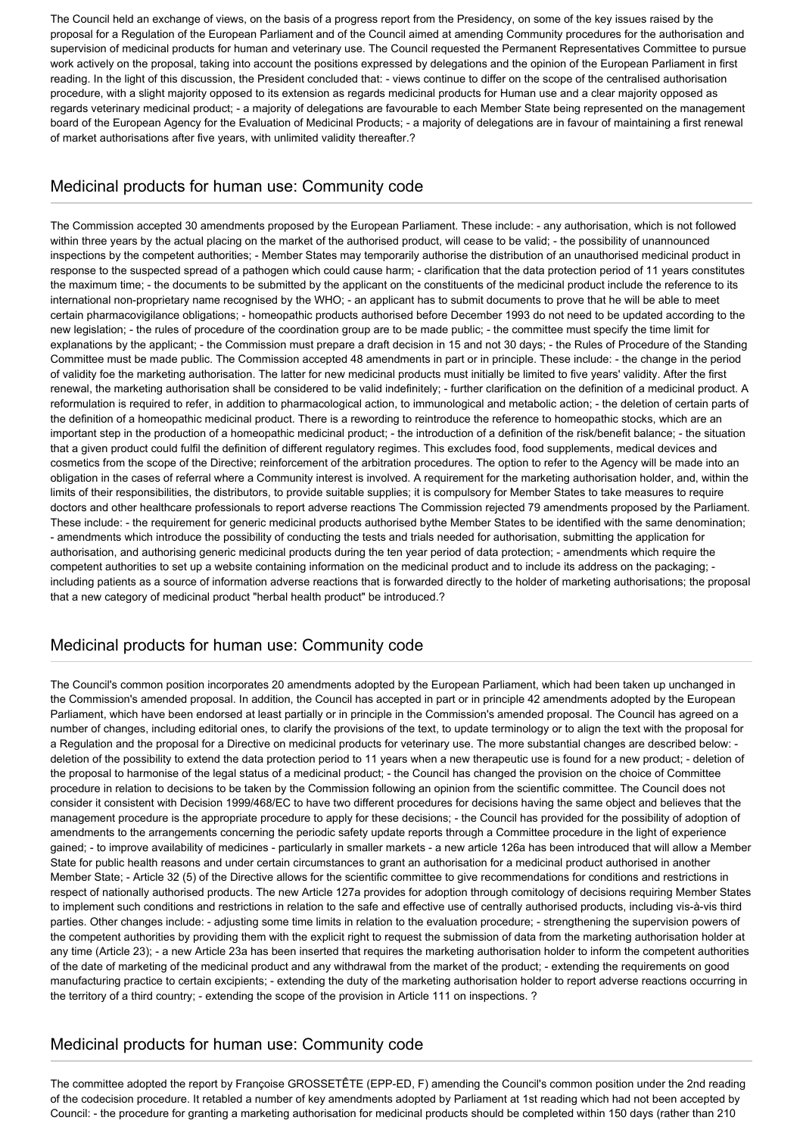The Council held an exchange of views, on the basis of a progress report from the Presidency, on some of the key issues raised by the proposal for a Regulation of the European Parliament and of the Council aimed at amending Community procedures for the authorisation and supervision of medicinal products for human and veterinary use. The Council requested the Permanent Representatives Committee to pursue work actively on the proposal, taking into account the positions expressed by delegations and the opinion of the European Parliament in first reading. In the light of this discussion, the President concluded that: - views continue to differ on the scope of the centralised authorisation procedure, with a slight majority opposed to its extension as regards medicinal products for Human use and a clear majority opposed as regards veterinary medicinal product; - a majority of delegations are favourable to each Member State being represented on the management board of the European Agency for the Evaluation of Medicinal Products; - a majority of delegations are in favour of maintaining a first renewal of market authorisations after five years, with unlimited validity thereafter.?

#### Medicinal products for human use: Community code

The Commission accepted 30 amendments proposed by the European Parliament. These include: - any authorisation, which is not followed within three years by the actual placing on the market of the authorised product, will cease to be valid; - the possibility of unannounced inspections by the competent authorities; - Member States may temporarily authorise the distribution of an unauthorised medicinal product in response to the suspected spread of a pathogen which could cause harm; - clarification that the data protection period of 11 years constitutes the maximum time; - the documents to be submitted by the applicant on the constituents of the medicinal product include the reference to its international non-proprietary name recognised by the WHO; - an applicant has to submit documents to prove that he will be able to meet certain pharmacovigilance obligations; - homeopathic products authorised before December 1993 do not need to be updated according to the new legislation; - the rules of procedure of the coordination group are to be made public; - the committee must specify the time limit for explanations by the applicant; - the Commission must prepare a draft decision in 15 and not 30 days; - the Rules of Procedure of the Standing Committee must be made public. The Commission accepted 48 amendments in part or in principle. These include: - the change in the period of validity foe the marketing authorisation. The latter for new medicinal products must initially be limited to five years' validity. After the first renewal, the marketing authorisation shall be considered to be valid indefinitely; - further clarification on the definition of a medicinal product. A reformulation is required to refer, in addition to pharmacological action, to immunological and metabolic action; - the deletion of certain parts of the definition of a homeopathic medicinal product. There is a rewording to reintroduce the reference to homeopathic stocks, which are an important step in the production of a homeopathic medicinal product; - the introduction of a definition of the risk/benefit balance; - the situation that a given product could fulfil the definition of different regulatory regimes. This excludes food, food supplements, medical devices and cosmetics from the scope of the Directive; reinforcement of the arbitration procedures. The option to refer to the Agency will be made into an obligation in the cases of referral where a Community interest is involved. A requirement for the marketing authorisation holder, and, within the limits of their responsibilities, the distributors, to provide suitable supplies; it is compulsory for Member States to take measures to require doctors and other healthcare professionals to report adverse reactions The Commission rejected 79 amendments proposed by the Parliament. These include: - the requirement for generic medicinal products authorised bythe Member States to be identified with the same denomination; - amendments which introduce the possibility of conducting the tests and trials needed for authorisation, submitting the application for authorisation, and authorising generic medicinal products during the ten year period of data protection; - amendments which require the competent authorities to set up a website containing information on the medicinal product and to include its address on the packaging; including patients as a source of information adverse reactions that is forwarded directly to the holder of marketing authorisations; the proposal that a new category of medicinal product "herbal health product" be introduced.?

# Medicinal products for human use: Community code

The Council's common position incorporates 20 amendments adopted by the European Parliament, which had been taken up unchanged in the Commission's amended proposal. In addition, the Council has accepted in part or in principle 42 amendments adopted by the European Parliament, which have been endorsed at least partially or in principle in the Commission's amended proposal. The Council has agreed on a number of changes, including editorial ones, to clarify the provisions of the text, to update terminology or to align the text with the proposal for a Regulation and the proposal for a Directive on medicinal products for veterinary use. The more substantial changes are described below: deletion of the possibility to extend the data protection period to 11 years when a new therapeutic use is found for a new product; - deletion of the proposal to harmonise of the legal status of a medicinal product; - the Council has changed the provision on the choice of Committee procedure in relation to decisions to be taken by the Commission following an opinion from the scientific committee. The Council does not consider it consistent with Decision 1999/468/EC to have two different procedures for decisions having the same object and believes that the management procedure is the appropriate procedure to apply for these decisions; - the Council has provided for the possibility of adoption of amendments to the arrangements concerning the periodic safety update reports through a Committee procedure in the light of experience gained; - to improve availability of medicines - particularly in smaller markets - a new article 126a has been introduced that will allow a Member State for public health reasons and under certain circumstances to grant an authorisation for a medicinal product authorised in another Member State; - Article 32 (5) of the Directive allows for the scientific committee to give recommendations for conditions and restrictions in respect of nationally authorised products. The new Article 127a provides for adoption through comitology of decisions requiring Member States to implement such conditions and restrictions in relation to the safe and effective use of centrally authorised products, including vis-à-vis third parties. Other changes include: - adjusting some time limits in relation to the evaluation procedure; - strengthening the supervision powers of the competent authorities by providing them with the explicit right to request the submission of data from the marketing authorisation holder at any time (Article 23); - a new Article 23a has been inserted that requires the marketing authorisation holder to inform the competent authorities of the date of marketing of the medicinal product and any withdrawal from the market of the product; - extending the requirements on good manufacturing practice to certain excipients; - extending the duty of the marketing authorisation holder to report adverse reactions occurring in the territory of a third country; - extending the scope of the provision in Article 111 on inspections. ?

# Medicinal products for human use: Community code

The committee adopted the report by Françoise GROSSETÊTE (EPP-ED, F) amending the Council's common position under the 2nd reading of the codecision procedure. It retabled a number of key amendments adopted by Parliament at 1st reading which had not been accepted by Council: - the procedure for granting a marketing authorisation for medicinal products should be completed within 150 days (rather than 210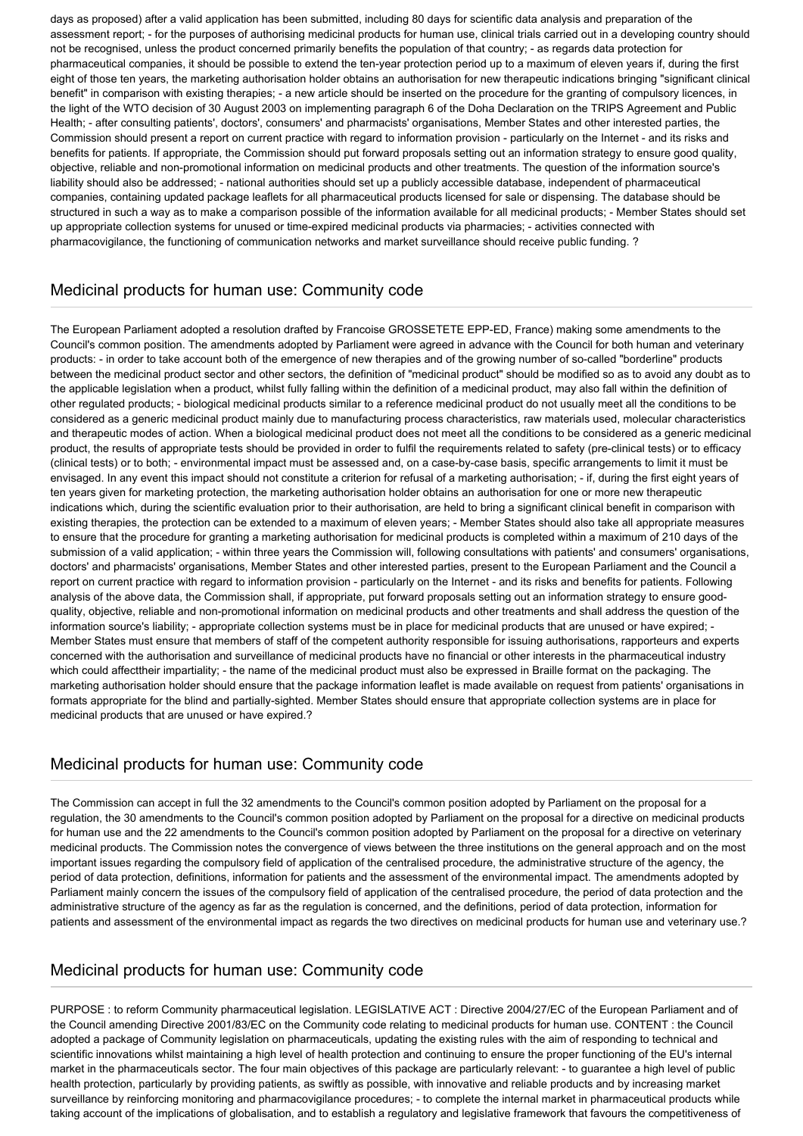days as proposed) after a valid application has been submitted, including 80 days for scientific data analysis and preparation of the assessment report; - for the purposes of authorising medicinal products for human use, clinical trials carried out in a developing country should not be recognised, unless the product concerned primarily benefits the population of that country; - as regards data protection for pharmaceutical companies, it should be possible to extend the ten-year protection period up to a maximum of eleven years if, during the first eight of those ten years, the marketing authorisation holder obtains an authorisation for new therapeutic indications bringing "significant clinical benefit" in comparison with existing therapies; - a new article should be inserted on the procedure for the granting of compulsory licences, in the light of the WTO decision of 30 August 2003 on implementing paragraph 6 of the Doha Declaration on the TRIPS Agreement and Public Health; - after consulting patients', doctors', consumers' and pharmacists' organisations, Member States and other interested parties, the Commission should present a report on current practice with regard to information provision - particularly on the Internet - and its risks and benefits for patients. If appropriate, the Commission should put forward proposals setting out an information strategy to ensure good quality, objective, reliable and non-promotional information on medicinal products and other treatments. The question of the information source's liability should also be addressed; - national authorities should set up a publicly accessible database, independent of pharmaceutical companies, containing updated package leaflets for all pharmaceutical products licensed for sale or dispensing. The database should be structured in such a way as to make a comparison possible of the information available for all medicinal products; - Member States should set up appropriate collection systems for unused or time-expired medicinal products via pharmacies; - activities connected with pharmacovigilance, the functioning of communication networks and market surveillance should receive public funding. ?

## Medicinal products for human use: Community code

The European Parliament adopted a resolution drafted by Francoise GROSSETETE EPP-ED, France) making some amendments to the Council's common position. The amendments adopted by Parliament were agreed in advance with the Council for both human and veterinary products: - in order to take account both of the emergence of new therapies and of the growing number of so-called "borderline" products between the medicinal product sector and other sectors, the definition of "medicinal product" should be modified so as to avoid any doubt as to the applicable legislation when a product, whilst fully falling within the definition of a medicinal product, may also fall within the definition of other regulated products; - biological medicinal products similar to a reference medicinal product do not usually meet all the conditions to be considered as a generic medicinal product mainly due to manufacturing process characteristics, raw materials used, molecular characteristics and therapeutic modes of action. When a biological medicinal product does not meet all the conditions to be considered as a generic medicinal product, the results of appropriate tests should be provided in order to fulfil the requirements related to safety (pre-clinical tests) or to efficacy (clinical tests) or to both; - environmental impact must be assessed and, on a case-by-case basis, specific arrangements to limit it must be envisaged. In any event this impact should not constitute a criterion for refusal of a marketing authorisation; - if, during the first eight years of ten years given for marketing protection, the marketing authorisation holder obtains an authorisation for one or more new therapeutic indications which, during the scientific evaluation prior to their authorisation, are held to bring a significant clinical benefit in comparison with existing therapies, the protection can be extended to a maximum of eleven years; - Member States should also take all appropriate measures to ensure that the procedure for granting a marketing authorisation for medicinal products is completed within a maximum of 210 days of the submission of a valid application; - within three years the Commission will, following consultations with patients' and consumers' organisations, doctors' and pharmacists' organisations, Member States and other interested parties, present to the European Parliament and the Council a report on current practice with regard to information provision - particularly on the Internet - and its risks and benefits for patients. Following analysis of the above data, the Commission shall, if appropriate, put forward proposals setting out an information strategy to ensure goodquality, objective, reliable and non-promotional information on medicinal products and other treatments and shall address the question of the information source's liability; - appropriate collection systems must be in place for medicinal products that are unused or have expired; - Member States must ensure that members of staff of the competent authority responsible for issuing authorisations, rapporteurs and experts concerned with the authorisation and surveillance of medicinal products have no financial or other interests in the pharmaceutical industry which could affecttheir impartiality; - the name of the medicinal product must also be expressed in Braille format on the packaging. The marketing authorisation holder should ensure that the package information leaflet is made available on request from patients' organisations in formats appropriate for the blind and partially-sighted. Member States should ensure that appropriate collection systems are in place for medicinal products that are unused or have expired.?

#### Medicinal products for human use: Community code

The Commission can accept in full the 32 amendments to the Council's common position adopted by Parliament on the proposal for a regulation, the 30 amendments to the Council's common position adopted by Parliament on the proposal for a directive on medicinal products for human use and the 22 amendments to the Council's common position adopted by Parliament on the proposal for a directive on veterinary medicinal products. The Commission notes the convergence of views between the three institutions on the general approach and on the most important issues regarding the compulsory field of application of the centralised procedure, the administrative structure of the agency, the period of data protection, definitions, information for patients and the assessment of the environmental impact. The amendments adopted by Parliament mainly concern the issues of the compulsory field of application of the centralised procedure, the period of data protection and the administrative structure of the agency as far as the regulation is concerned, and the definitions, period of data protection, information for patients and assessment of the environmental impact as regards the two directives on medicinal products for human use and veterinary use.?

#### Medicinal products for human use: Community code

PURPOSE : to reform Community pharmaceutical legislation. LEGISLATIVE ACT : Directive 2004/27/EC of the European Parliament and of the Council amending Directive 2001/83/EC on the Community code relating to medicinal products for human use. CONTENT : the Council adopted a package of Community legislation on pharmaceuticals, updating the existing rules with the aim of responding to technical and scientific innovations whilst maintaining a high level of health protection and continuing to ensure the proper functioning of the EU's internal market in the pharmaceuticals sector. The four main objectives of this package are particularly relevant: - to guarantee a high level of public health protection, particularly by providing patients, as swiftly as possible, with innovative and reliable products and by increasing market surveillance by reinforcing monitoring and pharmacovigilance procedures; - to complete the internal market in pharmaceutical products while taking account of the implications of globalisation, and to establish a regulatory and legislative framework that favours the competitiveness of